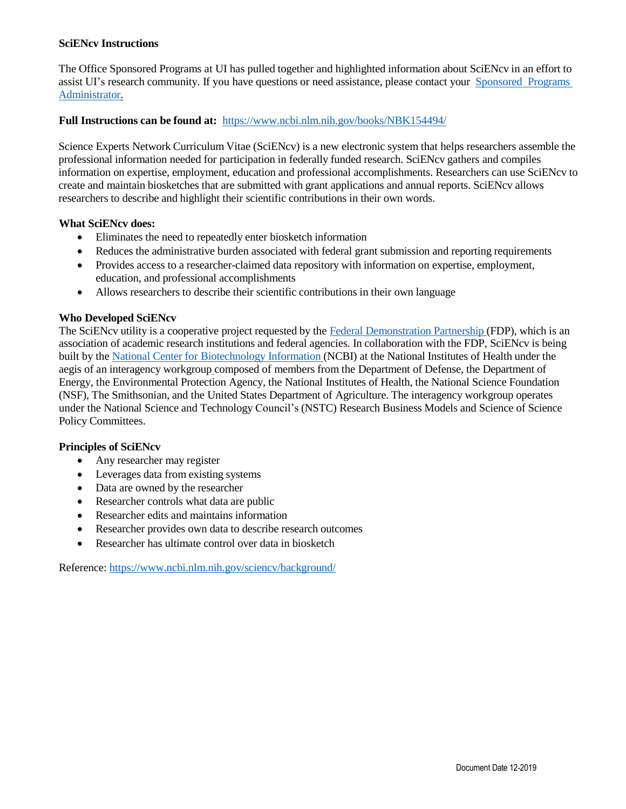## **SciENcv Instructions**

The Office Sponsored Programs at UI has pulled together and highlighted information about SciENcv in an effort to assist UI's research community. If you have questions or need assistance, please contact your [Sponsored](https://www.uidaho.edu/research/about/osp/pre-award-administration) [Programs](https://www.uidaho.edu/research/about/osp/pre-award-administration)  [Administrator.](https://www.uidaho.edu/research/about/osp/pre-award-administration)

## **Full Instructions can be found at:** <https://www.ncbi.nlm.nih.gov/books/NBK154494/>

Science Experts Network Curriculum Vitae (SciENcv) is a new electronic system that helps researchers assemble the professional information needed for participation in federally funded research. SciENcv gathers and compiles information on expertise, employment, education and professional accomplishments. Researchers can use SciENcv to create and maintain biosketches that are submitted with grant applications and annual reports. SciENcv allows researchers to describe and highlight their scientific contributions in their own words.

#### **What SciENcv does:**

- Eliminates the need to repeatedly enter biosketch information
- Reduces the administrative burden associated with federal grant submission and reporting requirements
- Provides access to a researcher-claimed data repository with information on expertise, employment, education, and professional accomplishments
- Allows researchers to describe their scientific contributions in their own language

## **Who Developed SciENcv**

The SciENcv utility is a cooperative project requested by the Federal [Demonstration](https://fdpclearinghouse.org/) Partnership (FDP), which is an association of academic research institutions and federal agencies. In collaboration with the FDP, SciENcv is being built by the National Center for [Biotechnology](https://www.ncbi.nlm.nih.gov/) Information (NCBI) at the National Institutes of Health under the aegis of an interagency workgroup composed of members from the Department of Defense, the Department of Energy, the Environmental Protection Agency, the National Institutes of Health, the National Science Foundation (NSF), The Smithsonian, and the United States Department of Agriculture. The interagency workgroup operates under the National Science and Technology Council's (NSTC) Research Business Models and Science of Science Policy Committees.

## **Principles of SciENcv**

- Any researcher may register
- Leverages data from existing systems
- Data are owned by the researcher
- Researcher controls what data are public
- Researcher edits and maintains information
- Researcher provides own data to describe research outcomes
- Researcher has ultimate control over data in biosketch

Reference: <https://www.ncbi.nlm.nih.gov/sciencv/background/>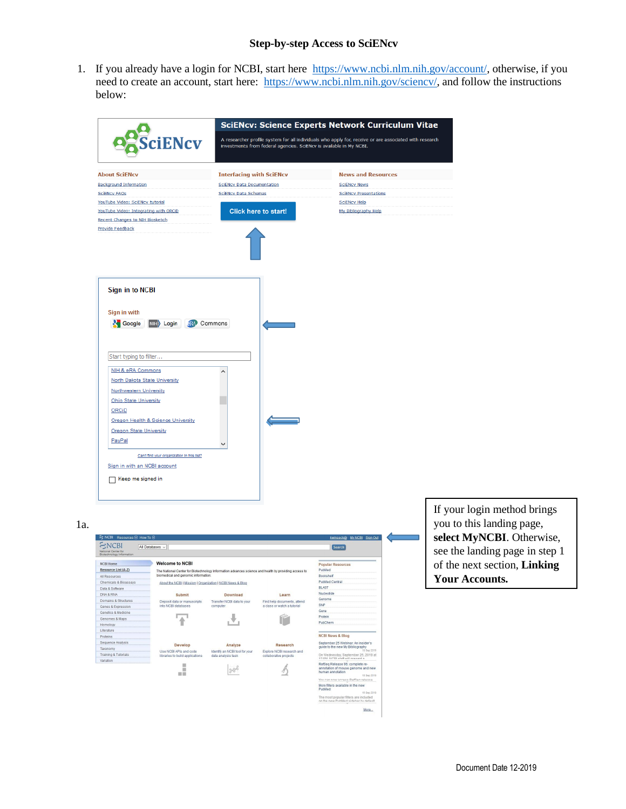## **Step-by-step Access to SciENcv**

1. If you already have a login for NCBI, start here [https://www.ncbi.nlm.nih.gov/account/,](https://www.ncbi.nlm.nih.gov/account/) otherwise, if you need to create an account, start here: [https://www.ncbi.nlm.nih.gov/sciencv/,](https://www.ncbi.nlm.nih.gov/sciencv/) and follow the instructions below:



If your login method brings you to this landing page, **select MyNCBI**. Otherwise, see the landing page in step 1 of the next section, **Linking Your Accounts.**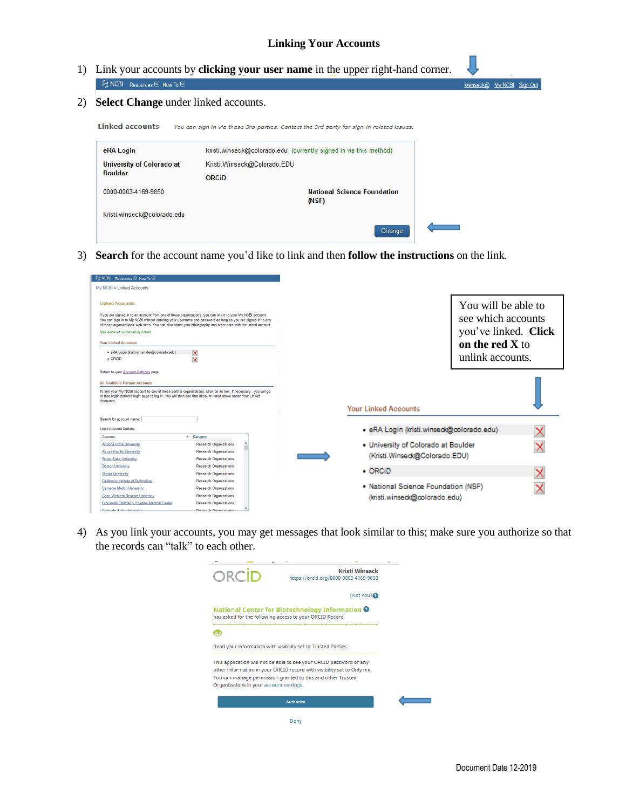- 1) Link your accounts by **clicking your user name** in the upper right-hand corner.  $\mathcal{S}$  NCBI Resources  $\odot$  How To  $\odot$ kwinseck@ My NCBI Sign Out
- 2) **Select Change** under linked accounts.

Linked accounts You can sign in via these 3rd-parties. Contact the 3rd party for sign-in related issues.

| eRA Login                   | kristi.winseck@colorado.edu (currently signed in via this method) |  |
|-----------------------------|-------------------------------------------------------------------|--|
| University of Colorado at   | Kristi. Winseck@Colorado.EDU                                      |  |
| <b>Boulder</b>              | ORCID                                                             |  |
| 0000-0003-4169-9850         | <b>National Science Foundation</b><br>(NSF)                       |  |
| kristi.winseck@colorado.edu |                                                                   |  |
|                             | Change                                                            |  |

3) **Search** for the account name you'd like to link and then **follow the instructions** on the link.

| SNCBI Resources <b>⊙</b> How To <b>⊙</b>                                                                                                            |                                                                                                                                                                                                                                                                                                                                              |                                                                      |                                                                   |  |
|-----------------------------------------------------------------------------------------------------------------------------------------------------|----------------------------------------------------------------------------------------------------------------------------------------------------------------------------------------------------------------------------------------------------------------------------------------------------------------------------------------------|----------------------------------------------------------------------|-------------------------------------------------------------------|--|
| My NCBI » Linked Accounts                                                                                                                           |                                                                                                                                                                                                                                                                                                                                              |                                                                      |                                                                   |  |
| <b>Linked Accounts</b><br>New account successfully linked.                                                                                          | If you are signed in to an account from one of these organizations, you can link it to your My NCBI account.<br>You can sign in to My NCBI without entering your usemame and password as long as you are signed in to any<br>of these organizations' web sites. You can also share your bibliography and other data with the linked account. |                                                                      | You will be able to<br>see which accounts<br>you've linked. Click |  |
| <b>Your Linked Accounts</b>                                                                                                                         |                                                                                                                                                                                                                                                                                                                                              |                                                                      | on the red X to                                                   |  |
| · eRA Login (kathryn.snider@colorado.edu)<br>$\bullet$ ORCiD                                                                                        | $\overline{\mathsf{x}}$<br>$\overline{\mathsf{x}}$                                                                                                                                                                                                                                                                                           |                                                                      | unlink accounts.                                                  |  |
| Return to your Account Settings page                                                                                                                |                                                                                                                                                                                                                                                                                                                                              |                                                                      |                                                                   |  |
| <b>All Available Partner Accounts</b>                                                                                                               |                                                                                                                                                                                                                                                                                                                                              |                                                                      |                                                                   |  |
| to that organization's login page to log in. You will then see that account listed above under Your Linked<br>Accounts.<br>Search for account name: | To link your My NCBI account to one of these partner organizations, click on its link. If necessary, you will go                                                                                                                                                                                                                             | <b>Your Linked Accounts</b>                                          |                                                                   |  |
| <b>Login Account Options</b>                                                                                                                        |                                                                                                                                                                                                                                                                                                                                              | · eRA Login (kristi.winseck@colorado.edu)                            |                                                                   |  |
| Account                                                                                                                                             | $\div$ Category                                                                                                                                                                                                                                                                                                                              |                                                                      |                                                                   |  |
| <b>Arizona State University</b><br>Azusa Pacific University<br><b>Boise State University</b>                                                        | <b>Research Organizations</b><br><b>Research Organizations</b><br><b>Research Organizations</b>                                                                                                                                                                                                                                              | . University of Colorado at Boulder<br>(Kristi.Winseck@Colorado.EDU) |                                                                   |  |
| <b>Boston University</b>                                                                                                                            | <b>Research Organizations</b>                                                                                                                                                                                                                                                                                                                | $\cdot$ ORCID                                                        |                                                                   |  |
| <b>Brown University</b>                                                                                                                             | <b>Research Organizations</b>                                                                                                                                                                                                                                                                                                                |                                                                      |                                                                   |  |
| California Institute of Technology<br><b>Carnegie Mellon University</b>                                                                             | <b>Research Organizations</b><br><b>Research Organizations</b>                                                                                                                                                                                                                                                                               | . National Science Foundation (NSF)                                  |                                                                   |  |
| Case Western Reserve University                                                                                                                     | <b>Research Organizations</b>                                                                                                                                                                                                                                                                                                                | (kristi.winseck@colorado.edu)                                        |                                                                   |  |
| Cincinnati Children's Hospital Medical Center                                                                                                       | <b>Research Organizations</b>                                                                                                                                                                                                                                                                                                                |                                                                      |                                                                   |  |
| Colorado Ctata Linkaraitu.                                                                                                                          | <b>Denomia Organizations</b>                                                                                                                                                                                                                                                                                                                 |                                                                      |                                                                   |  |

4) As you link your accounts, you may get messages that look similar to this; make sure you authorize so that the records can "talk" to each other.

| ORCID                                   | <b>Kristi Winseck</b><br>https://orcid.org/0000-0003-4169-9850                                                        |
|-----------------------------------------|-----------------------------------------------------------------------------------------------------------------------|
|                                         | (Not You)                                                                                                             |
|                                         | National Center for Biotechnology Information <sup>O</sup><br>has asked for the following access to your ORCID Record |
|                                         |                                                                                                                       |
|                                         |                                                                                                                       |
|                                         | Read your information with visibility set to Trusted Parties                                                          |
|                                         |                                                                                                                       |
|                                         | This application will not be able to see your ORCID password or any                                                   |
|                                         | other information in your ORCID record with visibility set to Only me.                                                |
| Organizations in your account settings. | You can manage permission granted to this and other Trusted                                                           |
|                                         |                                                                                                                       |
|                                         | Authorize                                                                                                             |
|                                         | Denv                                                                                                                  |

T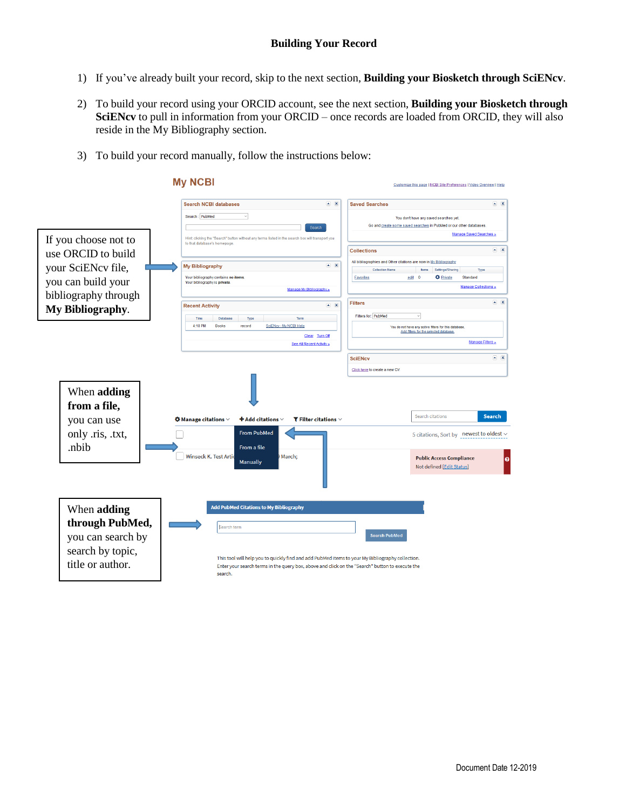- 1) If you've already built your record, skip to the next section, **Building your Biosketch through SciENcv**.
- 2) To build your record using your ORCID account, see the next section, **Building your Biosketch through SciENcv** to pull in information from your ORCID – once records are loaded from ORCID, they will also reside in the My Bibliography section.
- 3) To build your record manually, follow the instructions below:

|                                                                                             | <b>My NCBI</b>                                                                                                                                                                                                                                                                                     | Customize this page   NCBI Site Preferences   Video Overview   Help                                                                  |
|---------------------------------------------------------------------------------------------|----------------------------------------------------------------------------------------------------------------------------------------------------------------------------------------------------------------------------------------------------------------------------------------------------|--------------------------------------------------------------------------------------------------------------------------------------|
|                                                                                             | $\rightarrow$ X<br><b>Search NCBI databases</b>                                                                                                                                                                                                                                                    | $\sim$ X<br><b>Saved Searches</b>                                                                                                    |
|                                                                                             | Search: PubMed<br>$\mathcal{A}$<br>Search                                                                                                                                                                                                                                                          | You don't have any saved searches yet.<br>Go and greate some saved searches in PubMed or our other databases.                        |
| If you choose not to                                                                        | Hint: clicking the "Search" button without any terms listed in the search box will transport you<br>to that database's homepage.                                                                                                                                                                   | Manage Saved Searches »                                                                                                              |
| use ORCID to build                                                                          |                                                                                                                                                                                                                                                                                                    | $\sim$ X<br><b>Collections</b>                                                                                                       |
| your SciENcv file,                                                                          | $\blacksquare$<br><b>My Bibliography</b>                                                                                                                                                                                                                                                           | All bibliographies and Other citations are now in My Bibliography                                                                    |
|                                                                                             | Your bibliography contains no items                                                                                                                                                                                                                                                                | <b>Collection Name</b><br>Settings/Sharing<br>Type<br>tems<br><b>Favorites</b><br>edit 0<br><b>C</b> Private<br>Standard             |
| you can build your                                                                          | Your bibliography is private.<br>Manage My Bibliography.a                                                                                                                                                                                                                                          | <b>Manage Collections »</b>                                                                                                          |
| bibliography through                                                                        | $\sim$ X<br><b>Recent Activity</b>                                                                                                                                                                                                                                                                 | $\sim$ X<br><b>Filters</b>                                                                                                           |
| My Bibliography.                                                                            | Time<br>Database<br>Term<br>Type                                                                                                                                                                                                                                                                   | Filters for: PubMed<br>$\dot{\mathbf{v}}$                                                                                            |
|                                                                                             | SciENcv - My NCBI Help<br>4:18 PM<br><b>Books</b><br>record                                                                                                                                                                                                                                        | You do not have any active filters for this database.<br>Add filters for the selected database                                       |
|                                                                                             | Clear Turn Off<br>See All Recent Activity »                                                                                                                                                                                                                                                        | <b>Manage Filters »</b>                                                                                                              |
|                                                                                             |                                                                                                                                                                                                                                                                                                    | $\sim$ X<br><b>SciENcv</b>                                                                                                           |
|                                                                                             |                                                                                                                                                                                                                                                                                                    | Click here to create a new CV.                                                                                                       |
| When adding<br>from a file,<br>you can use<br>only .ris, .txt,<br>.nbib                     | $\clubsuit$ Manage citations $\vee$<br>$\bm{\bm{\pm}}$ Add citations $\vee$<br>$\blacktriangledown$ Filter citations $\vee$<br><b>From PubMed</b><br>From a file<br><b>Winseck K. Test Artid</b><br>March;                                                                                         | <b>Search citations</b><br><b>Search</b><br>5 citations, Sort by newest to oldest $\backsim$<br><b>Public Access Compliance</b><br>ø |
| When adding<br>through PubMed,<br>you can search by<br>search by topic,<br>title or author. | <b>Manually</b><br><b>Add PubMed Citations to My Bibliography</b><br>Search term<br>This tool will help you to quickly find and add PubMed items to your My Bibliography collection.<br>Enter your search terms in the query box, above and click on the "Search" button to execute the<br>search. | Not defined [Edit Status]<br><b>Search PubMed</b>                                                                                    |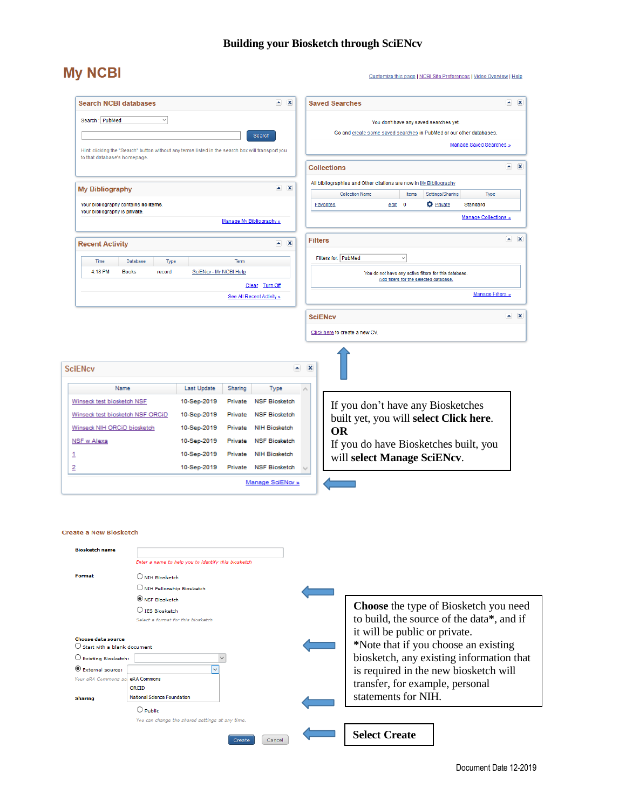# **Building your Biosketch through SciENcv**

# **My NCBI**

#### Customize this page | NCBI Site Preferences | Video Overview | Help

|                                                                          | <b>Search NCBI databases</b>                                                                     |                        |                          | $\sim$ X                                    |   |                  | <b>Saved Searches</b> |                                                                     |                                        |                  |                         | $\sim$ X                                         |
|--------------------------------------------------------------------------|--------------------------------------------------------------------------------------------------|------------------------|--------------------------|---------------------------------------------|---|------------------|-----------------------|---------------------------------------------------------------------|----------------------------------------|------------------|-------------------------|--------------------------------------------------|
| Search: PubMed                                                           | $\checkmark$                                                                                     |                        |                          |                                             |   |                  |                       | You don't have any saved searches yet.                              |                                        |                  |                         |                                                  |
|                                                                          |                                                                                                  |                        |                          | Search                                      |   |                  |                       | Go and create some saved searches in PubMed or our other databases. |                                        |                  |                         |                                                  |
|                                                                          | Hint: clicking the "Search" button without any terms listed in the search box will transport you |                        |                          |                                             |   |                  |                       |                                                                     |                                        |                  | Manage Saved Searches » |                                                  |
| to that database's homepage.                                             |                                                                                                  |                        |                          |                                             |   |                  |                       |                                                                     |                                        |                  |                         |                                                  |
|                                                                          |                                                                                                  |                        |                          |                                             |   |                  | <b>Collections</b>    |                                                                     |                                        |                  |                         | $\left  \bullet \right $ $\left  \times \right $ |
|                                                                          |                                                                                                  |                        |                          | $\sim$ X                                    |   |                  |                       | All bibliographies and Other citations are now in My Bibliography   |                                        |                  |                         |                                                  |
| <b>My Bibliography</b>                                                   |                                                                                                  |                        |                          |                                             |   |                  |                       | <b>Collection Name</b>                                              | Items                                  | Settings/Sharing | Type                    |                                                  |
| Your bibliography contains no items.<br>Your bibliography is private.    |                                                                                                  |                        |                          |                                             |   | <b>Favorites</b> |                       | edit                                                                | $\mathbf 0$                            | <b>O</b> Private | Standard                |                                                  |
|                                                                          |                                                                                                  |                        | Manage My Bibliography » |                                             |   |                  |                       |                                                                     |                                        |                  | Manage Collections »    |                                                  |
| <b>Recent Activity</b>                                                   |                                                                                                  |                        |                          | $\sim$ X                                    |   | <b>Filters</b>   |                       |                                                                     |                                        |                  |                         | $\sim$ X                                         |
|                                                                          |                                                                                                  |                        |                          |                                             |   |                  | Filters for: PubMed   | $\checkmark$                                                        |                                        |                  |                         |                                                  |
| Time<br>4:18 PM                                                          | Database<br>Type<br><b>Books</b><br>record                                                       | SciENcv - My NCBI Help | <b>Term</b>              |                                             |   |                  |                       |                                                                     |                                        |                  |                         |                                                  |
|                                                                          |                                                                                                  |                        |                          |                                             |   |                  |                       | You do not have any active filters for this database.               | Add filters for the selected database. |                  |                         |                                                  |
|                                                                          |                                                                                                  |                        |                          | Clear Turn Off<br>See All Recent Activity » |   |                  |                       |                                                                     |                                        |                  | Manage Filters »        |                                                  |
|                                                                          |                                                                                                  |                        |                          |                                             |   |                  |                       |                                                                     |                                        |                  |                         |                                                  |
|                                                                          |                                                                                                  |                        |                          |                                             |   | <b>SciENcv</b>   |                       |                                                                     |                                        |                  |                         | $\sim$ X                                         |
|                                                                          |                                                                                                  |                        |                          |                                             |   |                  |                       | Click here to create a new CV.                                      |                                        |                  |                         |                                                  |
|                                                                          |                                                                                                  |                        |                          |                                             |   |                  |                       |                                                                     |                                        |                  |                         |                                                  |
|                                                                          |                                                                                                  |                        |                          |                                             |   |                  |                       |                                                                     |                                        |                  |                         |                                                  |
| SciENcv                                                                  |                                                                                                  |                        |                          |                                             | ٠ | ×                |                       |                                                                     |                                        |                  |                         |                                                  |
| Name                                                                     |                                                                                                  | Last Update            | Sharing                  | Type                                        | ۸ |                  |                       |                                                                     |                                        |                  |                         |                                                  |
| Winseck test biosketch NSF                                               |                                                                                                  | 10-Sep-2019            | Private                  | <b>NSF Biosketch</b>                        |   |                  |                       | If you don't have any Biosketches                                   |                                        |                  |                         |                                                  |
| Winseck test biosketch NSF ORCID                                         |                                                                                                  | 10-Sep-2019            | Private                  | <b>NSF Biosketch</b>                        |   |                  |                       |                                                                     |                                        |                  |                         |                                                  |
| Winseck NIH ORCID biosketch                                              |                                                                                                  | 10-Sep-2019            | Private                  | <b>NIH Biosketch</b>                        |   |                  | <b>OR</b>             | built yet, you will select Click here.                              |                                        |                  |                         |                                                  |
| <b>NSF w Alexa</b>                                                       |                                                                                                  | 10-Sep-2019            | Private                  | <b>NSF Biosketch</b>                        |   |                  |                       |                                                                     |                                        |                  |                         |                                                  |
|                                                                          |                                                                                                  | 10-Sep-2019            | Private                  | <b>NIH Biosketch</b>                        |   |                  |                       | If you do have Biosketches built, you                               |                                        |                  |                         |                                                  |
|                                                                          |                                                                                                  | 10-Sep-2019            | Private                  | <b>NSF Biosketch</b>                        |   |                  |                       | will select Manage SciENcv.                                         |                                        |                  |                         |                                                  |
|                                                                          |                                                                                                  |                        |                          |                                             |   |                  |                       |                                                                     |                                        |                  |                         |                                                  |
|                                                                          |                                                                                                  |                        |                          | Manage SciENov »                            |   |                  |                       |                                                                     |                                        |                  |                         |                                                  |
|                                                                          |                                                                                                  |                        |                          |                                             |   |                  |                       |                                                                     |                                        |                  |                         |                                                  |
|                                                                          |                                                                                                  |                        |                          |                                             |   |                  |                       |                                                                     |                                        |                  |                         |                                                  |
|                                                                          |                                                                                                  |                        |                          |                                             |   |                  |                       |                                                                     |                                        |                  |                         |                                                  |
| <b>Create a New Biosketch</b>                                            |                                                                                                  |                        |                          |                                             |   |                  |                       |                                                                     |                                        |                  |                         |                                                  |
|                                                                          |                                                                                                  |                        |                          |                                             |   |                  |                       |                                                                     |                                        |                  |                         |                                                  |
| <b>Biosketch name</b>                                                    |                                                                                                  |                        |                          |                                             |   |                  |                       |                                                                     |                                        |                  |                         |                                                  |
|                                                                          | Enter a name to help you to identify this biosketch                                              |                        |                          |                                             |   |                  |                       |                                                                     |                                        |                  |                         |                                                  |
| Format                                                                   | O NIH Biosketch                                                                                  |                        |                          |                                             |   |                  |                       |                                                                     |                                        |                  |                         |                                                  |
|                                                                          | O NIH Fellowship Biosketch                                                                       |                        |                          |                                             |   |                  |                       |                                                                     |                                        |                  |                         |                                                  |
|                                                                          | <b>WSF Biosketch</b>                                                                             |                        |                          |                                             |   |                  |                       | Choose the type of Biosketch you need                               |                                        |                  |                         |                                                  |
|                                                                          | O IES Biosketch<br>Select a format for this biosketch                                            |                        |                          |                                             |   |                  |                       | to build, the source of the data*, and if                           |                                        |                  |                         |                                                  |
|                                                                          |                                                                                                  |                        |                          |                                             |   |                  |                       |                                                                     |                                        |                  |                         |                                                  |
| <b>Choose data source</b>                                                |                                                                                                  |                        |                          |                                             |   |                  |                       | it will be public or private.                                       |                                        |                  |                         |                                                  |
| $\bigcirc$ Start with a blank document<br>$\bigcirc$ Existing Biosketch: |                                                                                                  |                        |                          |                                             |   |                  |                       | *Note that if you choose an existing                                |                                        |                  |                         |                                                  |
| External source:                                                         |                                                                                                  |                        |                          |                                             |   |                  |                       | biosketch, any existing information that                            |                                        |                  |                         |                                                  |
| Your eRA Commons ag                                                      | eRA Commons                                                                                      |                        |                          |                                             |   |                  |                       | is required in the new biosketch will                               |                                        |                  |                         |                                                  |
|                                                                          | ORCID                                                                                            |                        |                          |                                             |   |                  |                       | transfer, for example, personal                                     |                                        |                  |                         |                                                  |
| <b>Sharing</b>                                                           | National Science Foundation<br>$\bigcirc$ Public                                                 |                        |                          |                                             |   |                  |                       | statements for NIH.                                                 |                                        |                  |                         |                                                  |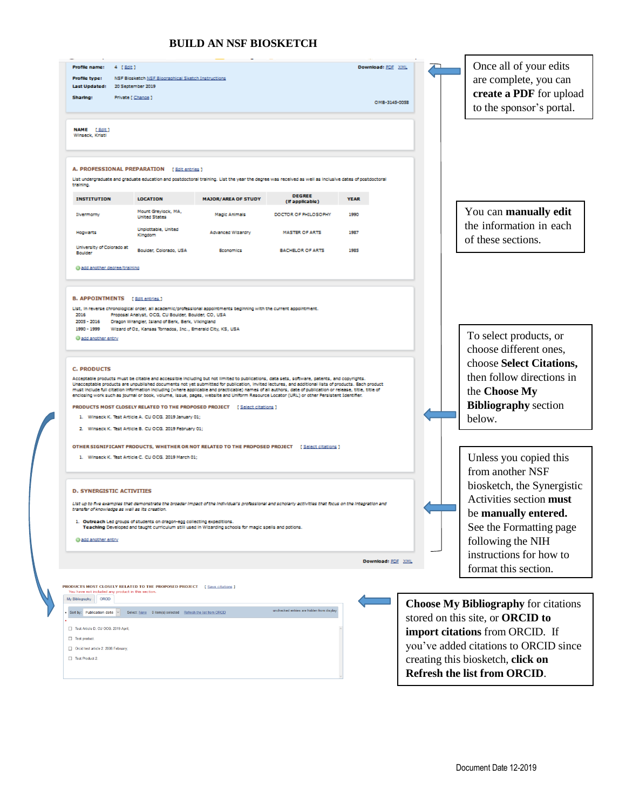## **BUILD AN NSF BIOSKETCH**

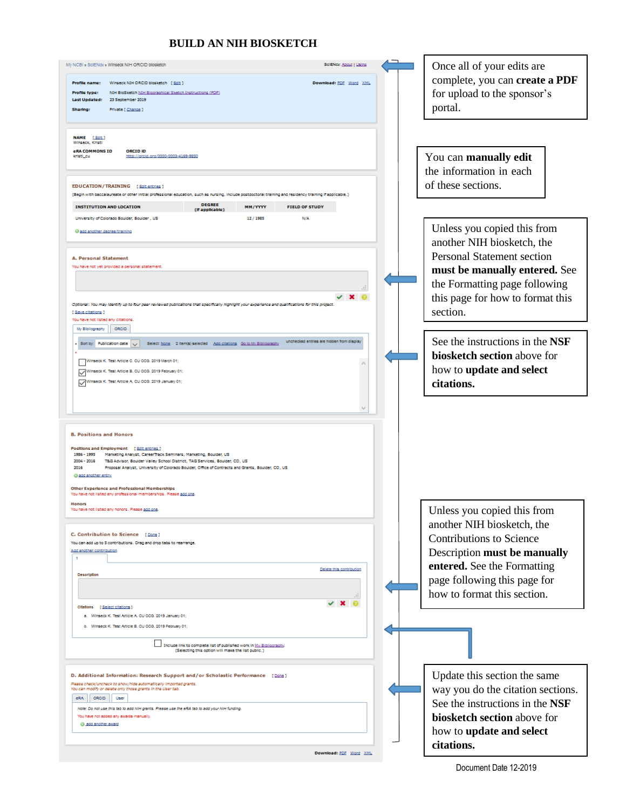## **BUILD AN NIH BIOSKETCH**

| SciENcy: About   Using<br>My NCBI » ScIENcy » Winseck NIH ORCID blosketch<br>Profile name: Winseck NIH ORCID blosketch [ Edit ]<br>Download: PDF Word XML<br>NIH BloSketch NIH Blooraphical Sketch Instructions (PDF)<br>Profile type:<br>23 September 2019<br>Last Updated:<br><b>Private [ Change ]</b><br>Sharing:<br>NAME [ Edit.]<br>Winseck, Kristi<br><b>CRA COMMONS ID</b><br><b>ORCIDID</b><br>kristi cu<br>http://graid.org/0000-0003-4169-9850                                                                                                             | Once all of your edits are<br>complete, you can create a PDF<br>for upload to the sponsor's<br>portal.<br>You can manually edit<br>the information in each                                                                 |
|-----------------------------------------------------------------------------------------------------------------------------------------------------------------------------------------------------------------------------------------------------------------------------------------------------------------------------------------------------------------------------------------------------------------------------------------------------------------------------------------------------------------------------------------------------------------------|----------------------------------------------------------------------------------------------------------------------------------------------------------------------------------------------------------------------------|
| EDUCATION/TRAINING [Edit entries ]<br>(Begin with baccalaureate or other initial professional education, such as nursing, include postdoctoral training and residency training if applicable.)<br><b>DEGREE</b><br><b>INSTITUTION AND LOCATION</b><br><b>MM/YYYY</b><br><b>FIELD OF STUDY</b><br>(If applicable)<br>University of Colorado Boulder, Boulder , US<br>12/1985<br>N/A<br>Cadd another degree/training<br>A. Personal Statement<br>You have not yet provided a personal statement                                                                         | of these sections.<br>Unless you copied this from<br>another NIH biosketch, the<br><b>Personal Statement section</b><br>must be manually entered. See                                                                      |
| Optional: You may identify up to four peer reviewed publications that specifically highlight your experience and qualifications for this project<br>[Save citations]<br>You have not listed any citations.<br>ORCID<br>My Bibliography<br>unchecked entries are hidden from display<br><b>Publication date</b><br>Select: None 2 Item(s) selected Add citations Go to My Bibliography<br>Sort by:<br>Winseck K. Test Article C. CU OCG. 2019 March 01;<br>Winseck K. Test Article B. CU OCG. 2019 February 01;<br>Winseck K. Test Article A. CU 009. 2019 January 01; | the Formatting page following<br>this page for how to format this<br>section.<br>See the instructions in the NSF<br>biosketch section above for<br>how to update and select<br>citations.                                  |
| <b>B. Positions and Honors</b><br>Positions and Employment [ Edit entries ]<br>1986 - 1995 Marketing Analyst, CareerTrack Seminars, Marketing, Boulder, US<br>2004 - 2016 T&G Advisor, Boulder Valley School District, TAG Services, Boulder, CO, US<br>2016<br>Proposal Analyst, University of Colorado Boulder, Office of Contracts and Grants, Boulder, CO, US<br>@ add another entry                                                                                                                                                                              |                                                                                                                                                                                                                            |
| Other Experience and Professional Memberships<br>You have not listed any professional memberships. Please add one<br><b>Honors</b><br>You have not listed any honors. Please add one.<br>C. Contribution to Science [Dane]<br>You can add up to 5 contributions. Drag and drop tabs to rearrange.<br>Add another contribution<br>1.<br>Delete this contribution<br><b>Desoription</b>                                                                                                                                                                                 | Unless you copied this from<br>another NIH biosketch, the<br><b>Contributions to Science</b><br>Description must be manually<br>entered. See the Formatting<br>page following this page for<br>how to format this section. |
| Citations<br>[Select citations]<br>a. Winseck K. Test Article A. CU OCG. 2019 January 01;<br>b. Winseck K. Test Article B. CU OCG. 2019 February 01:<br>Include link to complete list of published work in My Bibliography.<br>(Selecting this option will make the list public.)                                                                                                                                                                                                                                                                                     |                                                                                                                                                                                                                            |
| D. Additional Information: Research Support and/or Scholastic Performance [Dans]<br>Please check/uncheck to show/hide automatically imported grants.<br>You can modify or delete only those grants in the User tab.<br><b>ORCID</b><br>eRA.<br>User<br>Note: Do not use this tab to add NIH grants. Please use the eRA tab to add your NIH funding<br>You have not added any awards manually.<br>@ add another award<br>Download: PDF Word XML                                                                                                                        | Update this section the same<br>way you do the citation sections.<br>See the instructions in the NSF<br>biosketch section above for<br>how to update and select<br>citations.                                              |